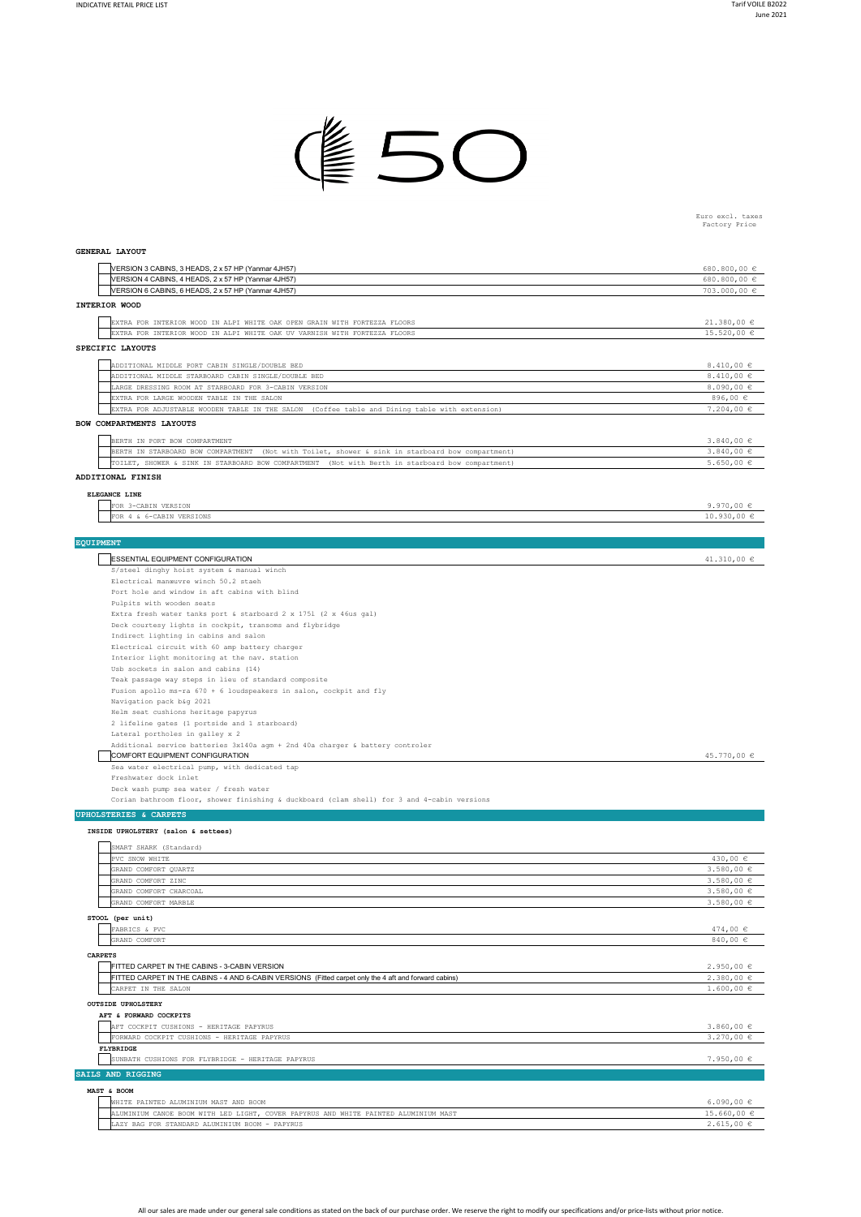

Euro excl. taxes Factory Price

## **GENERAL LAYOUT**

| VERSION 3 CABINS, 3 HEADS, 2 x 57 HP (Yanmar 4JH57)                                                              | 680.800,00 €                     |
|------------------------------------------------------------------------------------------------------------------|----------------------------------|
| VERSION 4 CABINS, 4 HEADS, 2 x 57 HP (Yanmar 4JH57)                                                              | 680.800,00 €                     |
| VERSION 6 CABINS, 6 HEADS, 2 x 57 HP (Yanmar 4JH57)                                                              | 703.000,00 €                     |
| INTERIOR WOOD                                                                                                    |                                  |
| EXTRA FOR INTERIOR WOOD IN ALPI WHITE OAK OPEN GRAIN WITH FORTEZZA FLOORS                                        | 21.380,00€                       |
| EXTRA FOR INTERIOR WOOD IN ALPI WHITE OAK UV VARNISH WITH FORTEZZA FLOORS                                        | $15.520,00 \in$                  |
| SPECIFIC LAYOUTS                                                                                                 |                                  |
|                                                                                                                  |                                  |
| ADDITIONAL MIDDLE PORT CABIN SINGLE/DOUBLE BED                                                                   | 8.410,00 $\in$                   |
| ADDITIONAL MIDDLE STARBOARD CABIN SINGLE/DOUBLE BED                                                              | 8.410,00 $\in$                   |
| LARGE DRESSING ROOM AT STARBOARD FOR 3-CABIN VERSION<br>EXTRA FOR LARGE WOODEN TABLE IN THE SALON                | 8.090,00 $\in$<br>896,00 €       |
| EXTRA FOR ADJUSTABLE WOODEN TABLE IN THE SALON (Coffee table and Dining table with extension)                    | $7.204,00 \in$                   |
| BOW COMPARTMENTS LAYOUTS                                                                                         |                                  |
|                                                                                                                  |                                  |
| BERTH IN PORT BOW COMPARTMENT                                                                                    | $3.840,00 \in$                   |
| BERTH IN STARBOARD BOW COMPARTMENT (Not with Toilet, shower & sink in starboard bow compartment)                 | $3.840,00 \in$                   |
| TOILET, SHOWER & SINK IN STARBOARD BOW COMPARTMENT (Not with Berth in starboard bow compartment)                 | $5.650,00 \in$                   |
| ADDITIONAL FINISH                                                                                                |                                  |
| ELEGANCE LINE                                                                                                    |                                  |
| FOR 3-CABIN VERSION                                                                                              | 9.970,00 $\in$                   |
| FOR 4 & 6-CABIN VERSIONS                                                                                         | $10.930,00 \in$                  |
|                                                                                                                  |                                  |
| <b>EQUIPMENT</b>                                                                                                 |                                  |
| ESSENTIAL EQUIPMENT CONFIGURATION                                                                                | 41.310,00 $\epsilon$             |
| S/steel dinghy hoist system & manual winch                                                                       |                                  |
| Electrical manœuvre winch 50.2 staeh                                                                             |                                  |
| Port hole and window in aft cabins with blind                                                                    |                                  |
| Pulpits with wooden seats                                                                                        |                                  |
| Extra fresh water tanks port & starboard 2 x 1751 (2 x 46us gal)                                                 |                                  |
| Deck courtesy lights in cockpit, transoms and flybridge                                                          |                                  |
| Indirect lighting in cabins and salon<br>Electrical circuit with 60 amp battery charger                          |                                  |
| Interior light monitoring at the nav. station                                                                    |                                  |
| Usb sockets in salon and cabins (14)                                                                             |                                  |
| Teak passage way steps in lieu of standard composite                                                             |                                  |
| Fusion apollo ms-ra 670 + 6 loudspeakers in salon, cockpit and fly                                               |                                  |
| Navigation pack b&g 2021                                                                                         |                                  |
| Helm seat cushions heritage papyrus                                                                              |                                  |
| 2 lifeline gates (1 portside and 1 starboard)                                                                    |                                  |
| Lateral portholes in galley x 2                                                                                  |                                  |
| Additional service batteries 3x140a agm + 2nd 40a charger & battery controler<br>COMFORT EQUIPMENT CONFIGURATION | 45.770,00 €                      |
| Sea water electrical pump, with dedicated tap                                                                    |                                  |
| Freshwater dock inlet                                                                                            |                                  |
| Deck wash pump sea water / fresh water                                                                           |                                  |
| Corian bathroom floor, shower finishing & duckboard (clam shell) for 3 and 4-cabin versions                      |                                  |
| <b>UPHOLSTERIES &amp; CARPETS</b>                                                                                |                                  |
|                                                                                                                  |                                  |
| INSIDE UPHOLSTERY (salon & settees)                                                                              |                                  |
| SMART SHARK (Standard)                                                                                           |                                  |
| PVC SNOW WHITE                                                                                                   | $430,00 \in$                     |
| GRAND COMFORT QUARTZ                                                                                             | 3.580,00 €                       |
| GRAND COMFORT ZINC<br>GRAND COMFORT CHARCOAL                                                                     | $3.580,00 \in$<br>$3.580,00 \in$ |
| GRAND COMFORT MARBLE                                                                                             | $3.580,00 \in$                   |
|                                                                                                                  |                                  |
| STOOL (per unit)                                                                                                 |                                  |
| FABRICS & PVC<br>GRAND COMFORT                                                                                   | 474,00 €<br>840,00 €             |
|                                                                                                                  |                                  |
| <b>CARPETS</b>                                                                                                   |                                  |
| FITTED CARPET IN THE CABINS - 3-CABIN VERSION                                                                    | 2.950,00€                        |
| FITTED CARPET IN THE CABINS - 4 AND 6-CABIN VERSIONS (Fitted carpet only the 4 aft and forward cabins)           | 2.380,00€<br>$1.600,00 \in$      |
| CARPET IN THE SALON                                                                                              |                                  |
| <b>OUTSIDE UPHOLSTERY</b>                                                                                        |                                  |
| AFT & FORWARD COCKPITS                                                                                           |                                  |
| AFT COCKPIT CUSHIONS - HERITAGE PAPYRUS                                                                          | $3.860,00 \in$                   |
| FORWARD COCKPIT CUSHIONS - HERITAGE PAPYRUS<br>FLYBRIDGE                                                         | $3.270,00 \in$                   |
| SUNBATH CUSHIONS FOR FLYBRIDGE - HERITAGE PAPYRUS                                                                | 7.950,00 €                       |
|                                                                                                                  |                                  |
| SAILS AND RIGGING                                                                                                |                                  |
| MAST & BOOM                                                                                                      |                                  |
| WHITE PAINTED ALUMINIUM MAST AND BOOM                                                                            | 6.090,00 $\epsilon$              |
| ALUMINIUM CANOE BOOM WITH LED LIGHT, COVER PAPYRUS AND WHITE PAINTED ALUMINIUM MAST                              | 15.660,00 €                      |
| LAZY BAG FOR STANDARD ALUMINIUM BOOM - PAPYRUS                                                                   | 2.615,00€                        |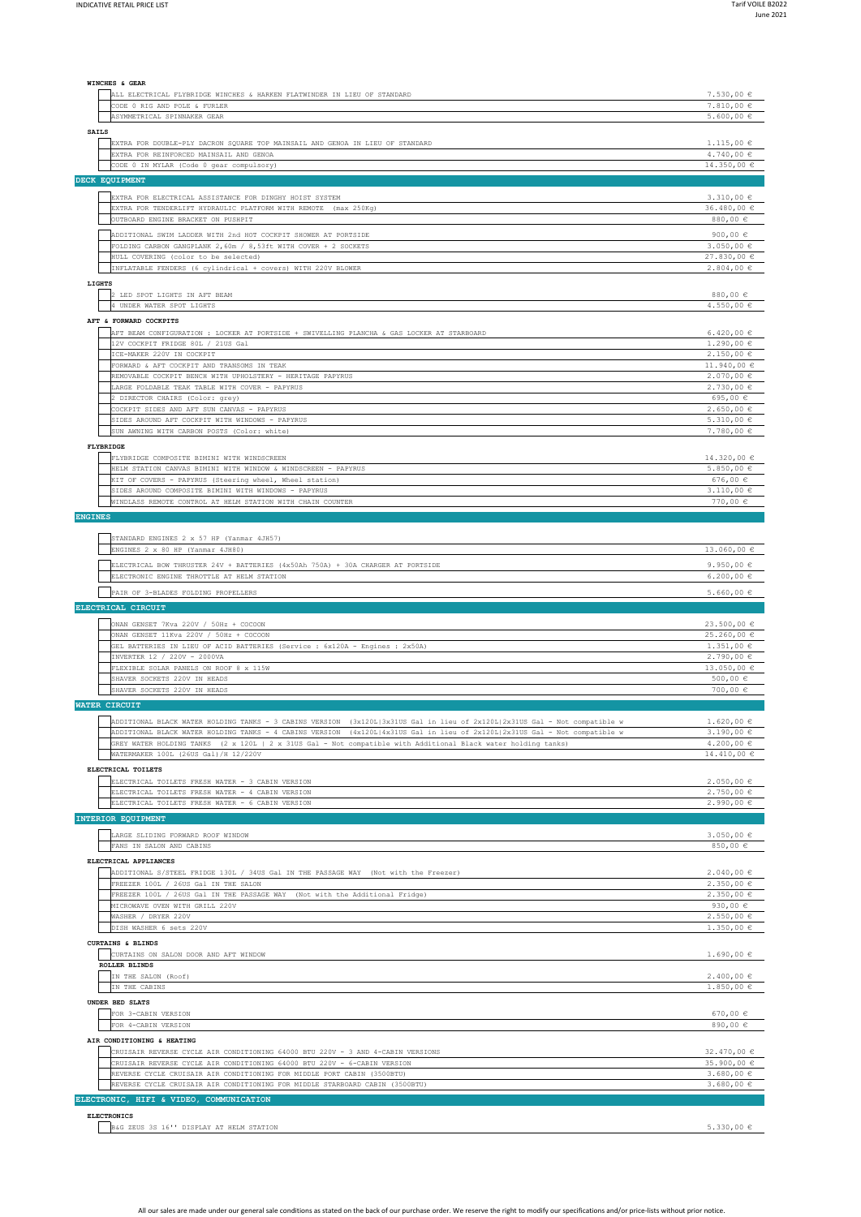5.330,00 €

| WINCHES & GEAR                                                                                                                                      |                                                  |
|-----------------------------------------------------------------------------------------------------------------------------------------------------|--------------------------------------------------|
| ALL ELECTRICAL FLYBRIDGE WINCHES & HARKEN FLATWINDER IN LIEU OF STANDARD                                                                            | $7.530,00 \in$                                   |
| CODE 0 RIG AND POLE & FURLER<br>ASYMMETRICAL SPINNAKER GEAR                                                                                         | 7.810,00 €<br>$5.600,00 \in$                     |
| <b>SAILS</b>                                                                                                                                        |                                                  |
| EXTRA FOR DOUBLE-PLY DACRON SQUARE TOP MAINSAIL AND GENOA IN LIEU OF STANDARD                                                                       | $1.115,00 \in$                                   |
| EXTRA FOR REINFORCED MAINSAIL AND GENOA                                                                                                             | $4.740,00 \in$                                   |
| CODE 0 IN MYLAR (Code 0 gear compulsory)                                                                                                            | 14.350,00€                                       |
| DECK EQUIPMENT                                                                                                                                      |                                                  |
| EXTRA FOR ELECTRICAL ASSISTANCE FOR DINGHY HOIST SYSTEM                                                                                             | $3.310,00 \in$                                   |
| EXTRA FOR TENDERLIFT HYDRAULIC PLATFORM WITH REMOTE (max 250Kg)<br>OUTBOARD ENGINE BRACKET ON PUSHPIT                                               | 36.480,00 €<br>880,00 €                          |
|                                                                                                                                                     |                                                  |
| ADDITIONAL SWIM LADDER WITH 2nd HOT COCKPIT SHOWER AT PORTSIDE<br>FOLDING CARBON GANGPLANK 2,60m / 8,53ft WITH COVER + 2 SOCKETS                    | 900,00 $\in$<br>$3.050,00 \in$                   |
| HULL COVERING (color to be selected)                                                                                                                | 27.830,00 €                                      |
| INFLATABLE FENDERS (6 cylindrical + covers) WITH 220V BLOWER                                                                                        | $2.804,00 \in$                                   |
| LIGHTS                                                                                                                                              |                                                  |
| 2 LED SPOT LIGHTS IN AFT BEAM<br>4 UNDER WATER SPOT LIGHTS                                                                                          | 880,00 €<br>4.550,00 €                           |
| AFT & FORWARD COCKPITS                                                                                                                              |                                                  |
| AFT BEAM CONFIGURATION : LOCKER AT PORTSIDE + SWIVELLING PLANCHA & GAS LOCKER AT STARBOARD                                                          | 6.420,00 €                                       |
| 12V COCKPIT FRIDGE 80L / 21US Gal                                                                                                                   | $1.290,00 \in$                                   |
| ICE-MAKER 220V IN COCKPIT                                                                                                                           | 2.150,00€                                        |
| FORWARD & AFT COCKPIT AND TRANSOMS IN TEAK<br>REMOVABLE COCKPIT BENCH WITH UPHOLSTERY - HERITAGE PAPYRUS                                            | 11.940,00 €<br>$2.070,00 \in$                    |
| LARGE FOLDABLE TEAK TABLE WITH COVER - PAPYRUS                                                                                                      | $2.730,00 \in$                                   |
| 2 DIRECTOR CHAIRS (Color: grey)                                                                                                                     | 695,00 €                                         |
| COCKPIT SIDES AND AFT SUN CANVAS - PAPYRUS<br>SIDES AROUND AFT COCKPIT WITH WINDOWS - PAPYRUS                                                       | $2.650,00 \in$<br>$5.310,00 \in$                 |
| SUN AWNING WITH CARBON POSTS (Color: white)                                                                                                         | $7.780,00 \in$                                   |
| FLYBRIDGE                                                                                                                                           |                                                  |
| FLYBRIDGE COMPOSITE BIMINI WITH WINDSCREEN                                                                                                          | 14.320,00 €                                      |
| HELM STATION CANVAS BIMINI WITH WINDOW & WINDSCREEN - PAPYRUS                                                                                       | $5.850,00 \in$                                   |
| KIT OF COVERS - PAPYRUS (Steering wheel, Wheel station)<br>SIDES AROUND COMPOSITE BIMINI WITH WINDOWS - PAPYRUS                                     | 676,00€<br>$3.110,00 \in$                        |
| WINDLASS REMOTE CONTROL AT HELM STATION WITH CHAIN COUNTER                                                                                          | 770,00 €                                         |
| <b>ENGINES</b>                                                                                                                                      |                                                  |
|                                                                                                                                                     |                                                  |
| STANDARD ENGINES 2 x 57 HP (Yanmar 4JH57)<br>ENGINES 2 x 80 HP (Yanmar 4JH80)                                                                       | $13.060,00 \in$                                  |
| ELECTRICAL BOW THRUSTER 24V + BATTERIES (4x50Ah 750A) + 30A CHARGER AT PORTSIDE                                                                     | 9.950,00 $\in$                                   |
| ELECTRONIC ENGINE THROTTLE AT HELM STATION                                                                                                          | $6.200,00 \in$                                   |
| PAIR OF 3-BLADES FOLDING PROPELLERS                                                                                                                 | $5.660,00 \in$                                   |
| ELECTRICAL CIRCUIT                                                                                                                                  |                                                  |
|                                                                                                                                                     | 23.500,00 €                                      |
| ONAN GENSET 7Kva 220V / 50Hz + COCOON<br>ONAN GENSET 11Kva 220V / 50Hz + COCOON                                                                     | 25.260,00 €                                      |
| GEL BATTERIES IN LIEU OF ACID BATTERIES (Service : 6x120A - Engines : 2x50A)                                                                        | $1.351,00 \in$                                   |
| INVERTER 12 / 220V - 2000VA<br>FLEXIBLE SOLAR PANELS ON ROOF 8 x 115W                                                                               | $2.790,00 \in$<br>13,050,00 €                    |
| SHAVER SOCKETS 220V IN HEADS                                                                                                                        | 500,00 €                                         |
| SHAVER SOCKETS 220V IN HEADS                                                                                                                        | 700,00 €                                         |
| <b>WATER CIRCUIT</b>                                                                                                                                |                                                  |
| ADDITIONAL BLACK WATER HOLDING TANKS - 3 CABINS VERSION (3x120L 3x31US Gal in lieu of 2x120L 2x31US Gal - Not compatible w                          | 1.620,00E                                        |
| ADDITIONAL BLACK WATER HOLDING TANKS - 4 CABINS VERSION (4x120L 4x31US Gal in lieu of 2x120L 2x31US Gal - Not compatible w                          | $3.190,00 \in$                                   |
| GREY WATER HOLDING TANKS (2 x 120L   2 x 31US Gal - Not compatible with Additional Black water holding tanks)                                       | $4.200,00 \in$                                   |
| WATERMAKER 100L (26US Gal) /H 12/220V                                                                                                               | 14.410,00 €                                      |
| ELECTRICAL TOILETS<br>ELECTRICAL TOILETS FRESH WATER - 3 CABIN VERSION                                                                              | $2.050,00 \in$                                   |
| ELECTRICAL TOILETS FRESH WATER - 4 CABIN VERSION                                                                                                    | 2.750,00€                                        |
| ELECTRICAL TOILETS FRESH WATER - 6 CABIN VERSION                                                                                                    | $2.990,00 \in$                                   |
| INTERIOR EQUIPMENT                                                                                                                                  |                                                  |
| LARGE SLIDING FORWARD ROOF WINDOW                                                                                                                   | $3.050,00 \in$                                   |
| FANS IN SALON AND CABINS                                                                                                                            | 850,00 €                                         |
| ELECTRICAL APPLIANCES                                                                                                                               |                                                  |
| ADDITIONAL S/STEEL FRIDGE 130L / 34US Gal IN THE PASSAGE WAY (Not with the Freezer)                                                                 | $2.040,00 \in$                                   |
| FREEZER 100L / 26US Gal IN THE SALON<br>FREEZER 100L / 26US Gal IN THE PASSAGE WAY (Not with the Additional Fridge)                                 | 2.350,00€<br>2.350,00€                           |
| MICROWAVE OVEN WITH GRILL 220V                                                                                                                      | 930,00 $\in$                                     |
| WASHER / DRYER 220V                                                                                                                                 | 2.550,00€                                        |
| DISH WASHER 6 sets 220V                                                                                                                             | $1.350,00 \in$                                   |
| CURTAINS & BLINDS                                                                                                                                   |                                                  |
| CURTAINS ON SALON DOOR AND AFT WINDOW<br>ROLLER BLINDS                                                                                              | $1.690,00 \in$                                   |
| IN THE SALON (Roof)                                                                                                                                 | 2.400,00€                                        |
|                                                                                                                                                     | $1.850,00 \in$                                   |
| IN THE CABINS                                                                                                                                       |                                                  |
| UNDER BED SLATS                                                                                                                                     |                                                  |
| FOR 3-CABIN VERSION                                                                                                                                 | 670,00 €                                         |
| FOR 4-CABIN VERSION                                                                                                                                 | 890,00 €                                         |
| AIR CONDITIONING & HEATING                                                                                                                          |                                                  |
| CRUISAIR REVERSE CYCLE AIR CONDITIONING 64000 BTU 220V - 3 AND 4-CABIN VERSIONS                                                                     |                                                  |
| CRUISAIR REVERSE CYCLE AIR CONDITIONING 64000 BTU 220V - 6-CABIN VERSION<br>REVERSE CYCLE CRUISAIR AIR CONDITIONING FOR MIDDLE PORT CABIN (3500BTU) | 32.470,00 €<br>35.900,00 $\in$<br>$3.680,00 \in$ |
| REVERSE CYCLE CRUISAIR AIR CONDITIONING FOR MIDDLE STARBOARD CABIN (3500BTU)                                                                        | $3.680,00 \in$                                   |

**ELECTRONICS** B&G ZEUS 3S 16'' DISPLAY AT HELM STATION